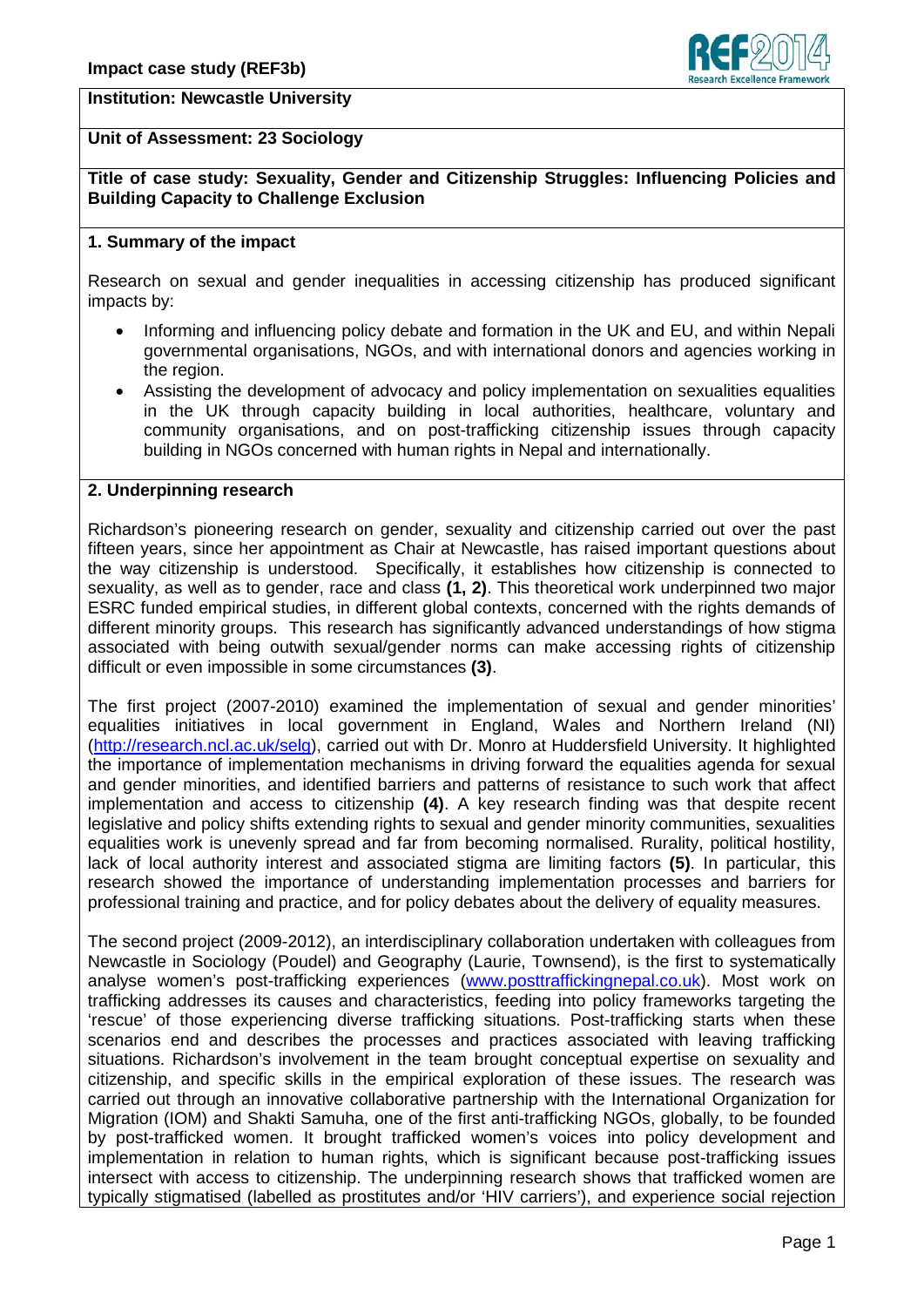

## **Institution: Newcastle University**

## **Unit of Assessment: 23 Sociology**

**Title of case study: Sexuality, Gender and Citizenship Struggles: Influencing Policies and Building Capacity to Challenge Exclusion**

## **1. Summary of the impact**

Research on sexual and gender inequalities in accessing citizenship has produced significant impacts by:

- Informing and influencing policy debate and formation in the UK and EU, and within Nepali governmental organisations, NGOs, and with international donors and agencies working in the region.
- Assisting the development of advocacy and policy implementation on sexualities equalities in the UK through capacity building in local authorities, healthcare, voluntary and community organisations, and on post-trafficking citizenship issues through capacity building in NGOs concerned with human rights in Nepal and internationally.

#### **2. Underpinning research**

Richardson's pioneering research on gender, sexuality and citizenship carried out over the past fifteen years, since her appointment as Chair at Newcastle, has raised important questions about the way citizenship is understood. Specifically, it establishes how citizenship is connected to sexuality, as well as to gender, race and class **(1, 2)**. This theoretical work underpinned two major ESRC funded empirical studies, in different global contexts, concerned with the rights demands of different minority groups. This research has significantly advanced understandings of how stigma associated with being outwith sexual/gender norms can make accessing rights of citizenship difficult or even impossible in some circumstances **(3)**.

The first project (2007-2010) examined the implementation of sexual and gender minorities' equalities initiatives in local government in England, Wales and Northern Ireland (NI) [\(http://research.ncl.ac.uk/selg\)](http://research.ncl.ac.uk/selg), carried out with Dr. Monro at Huddersfield University. It highlighted the importance of implementation mechanisms in driving forward the equalities agenda for sexual and gender minorities, and identified barriers and patterns of resistance to such work that affect implementation and access to citizenship **(4)**. A key research finding was that despite recent legislative and policy shifts extending rights to sexual and gender minority communities, sexualities equalities work is unevenly spread and far from becoming normalised. Rurality, political hostility, lack of local authority interest and associated stigma are limiting factors **(5)**. In particular, this research showed the importance of understanding implementation processes and barriers for professional training and practice, and for policy debates about the delivery of equality measures.

The second project (2009-2012), an interdisciplinary collaboration undertaken with colleagues from Newcastle in Sociology (Poudel) and Geography (Laurie, Townsend), is the first to systematically analyse women's post-trafficking experiences [\(www.posttraffickingnepal.co.uk\)](http://www.posttraffickingnepal.co.uk/). Most work on trafficking addresses its causes and characteristics, feeding into policy frameworks targeting the 'rescue' of those experiencing diverse trafficking situations. Post-trafficking starts when these scenarios end and describes the processes and practices associated with leaving trafficking situations. Richardson's involvement in the team brought conceptual expertise on sexuality and citizenship, and specific skills in the empirical exploration of these issues. The research was carried out through an innovative collaborative partnership with the International Organization for Migration (IOM) and Shakti Samuha, one of the first anti-trafficking NGOs, globally, to be founded by post-trafficked women. It brought trafficked women's voices into policy development and implementation in relation to human rights, which is significant because post-trafficking issues intersect with access to citizenship. The underpinning research shows that trafficked women are typically stigmatised (labelled as prostitutes and/or 'HIV carriers'), and experience social rejection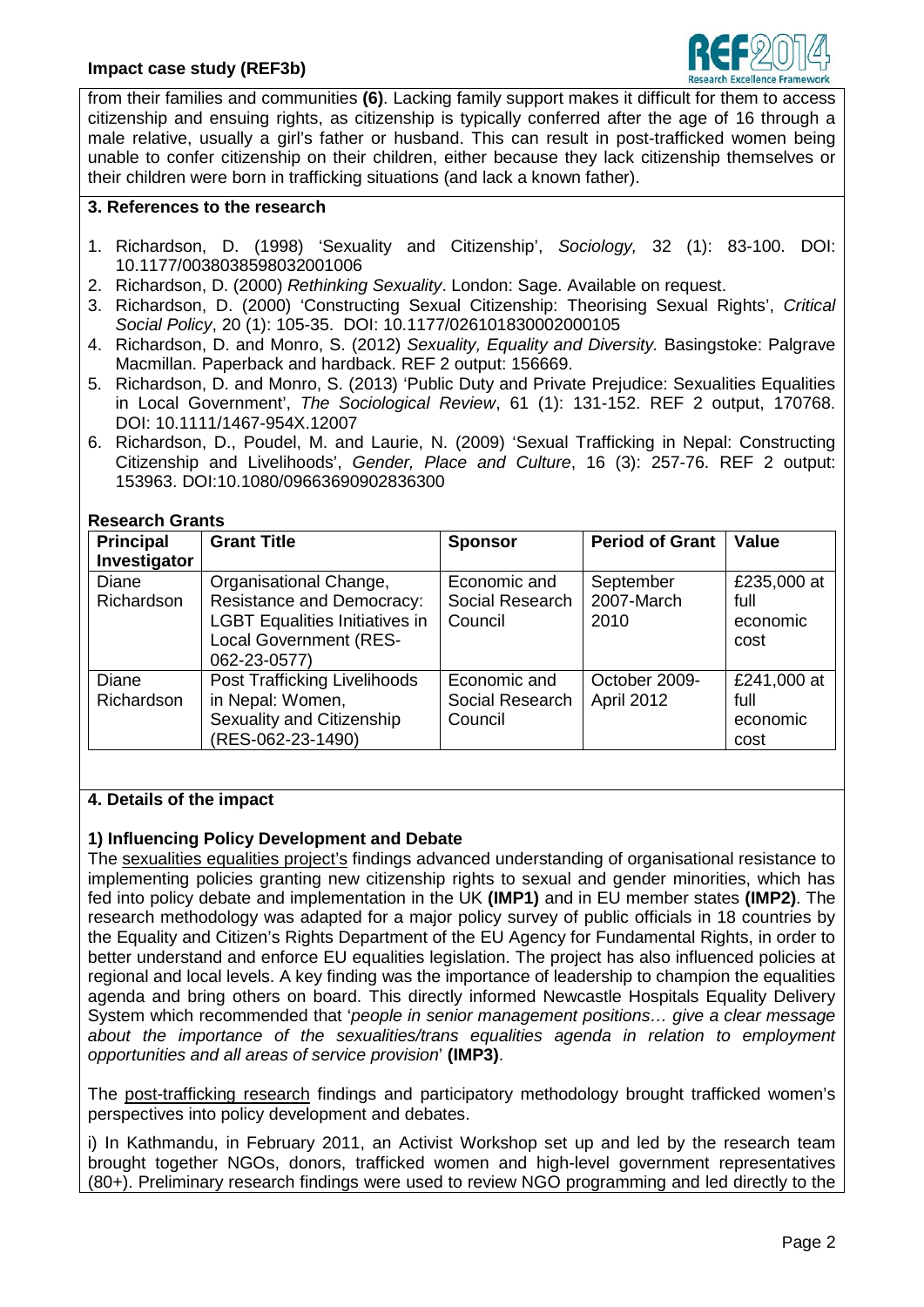

from their families and communities **(6)**. Lacking family support makes it difficult for them to access citizenship and ensuing rights, as citizenship is typically conferred after the age of 16 through a male relative, usually a girl's father or husband. This can result in post-trafficked women being unable to confer citizenship on their children, either because they lack citizenship themselves or their children were born in trafficking situations (and lack a known father).

#### **3. References to the research**

- 1. Richardson, D. (1998) 'Sexuality and Citizenship', *Sociology,* 32 (1): 83-100. DOI: 10.1177/0038038598032001006
- 2. Richardson, D. (2000) *Rethinking Sexuality*. London: Sage. Available on request.
- 3. Richardson, D. (2000) 'Constructing Sexual Citizenship: Theorising Sexual Rights', *Critical Social Policy*, 20 (1): 105-35. DOI: 10.1177/026101830002000105
- 4. Richardson, D. and Monro, S. (2012) *Sexuality, Equality and Diversity.* Basingstoke: Palgrave Macmillan. Paperback and hardback. REF 2 output: 156669.
- 5. Richardson, D. and Monro, S. (2013) 'Public Duty and Private Prejudice: Sexualities Equalities in Local Government', *The Sociological Review*, 61 (1): 131-152. REF 2 output, 170768. DOI: 10.1111/1467-954X.12007
- 6. Richardson, D., Poudel, M. and Laurie, N. (2009) 'Sexual Trafficking in Nepal: Constructing Citizenship and Livelihoods', *Gender, Place and Culture*, 16 (3): 257-76. REF 2 output: 153963. DOI:10.1080/09663690902836300

#### **Research Grants**

| <b>Principal</b><br>Investigator | <b>Grant Title</b>                                                                                                                                   | <b>Sponsor</b>                             | <b>Period of Grant</b>          | <b>Value</b>                            |
|----------------------------------|------------------------------------------------------------------------------------------------------------------------------------------------------|--------------------------------------------|---------------------------------|-----------------------------------------|
| Diane<br>Richardson              | Organisational Change,<br><b>Resistance and Democracy:</b><br><b>LGBT Equalities Initiatives in</b><br><b>Local Government (RES-</b><br>062-23-0577) | Economic and<br>Social Research<br>Council | September<br>2007-March<br>2010 | £235,000 at<br>full<br>economic<br>cost |
| <b>Diane</b><br>Richardson       | Post Trafficking Livelihoods<br>in Nepal: Women,<br>Sexuality and Citizenship<br>(RES-062-23-1490)                                                   | Economic and<br>Social Research<br>Council | October 2009-<br>April 2012     | £241,000 at<br>full<br>economic<br>cost |

## **4. Details of the impact**

## **1) Influencing Policy Development and Debate**

The sexualities equalities project's findings advanced understanding of organisational resistance to implementing policies granting new citizenship rights to sexual and gender minorities, which has fed into policy debate and implementation in the UK **(IMP1)** and in EU member states **(IMP2)**. The research methodology was adapted for a major policy survey of public officials in 18 countries by the Equality and Citizen's Rights Department of the EU Agency for Fundamental Rights, in order to better understand and enforce EU equalities legislation. The project has also influenced policies at regional and local levels. A key finding was the importance of leadership to champion the equalities agenda and bring others on board. This directly informed Newcastle Hospitals Equality Delivery System which recommended that '*people in senior management positions… give a clear message about the importance of the sexualities/trans equalities agenda in relation to employment opportunities and all areas of service provision*' **(IMP3)**.

The post-trafficking research findings and participatory methodology brought trafficked women's perspectives into policy development and debates.

i) In Kathmandu, in February 2011, an Activist Workshop set up and led by the research team brought together NGOs, donors, trafficked women and high-level government representatives (80+). Preliminary research findings were used to review NGO programming and led directly to the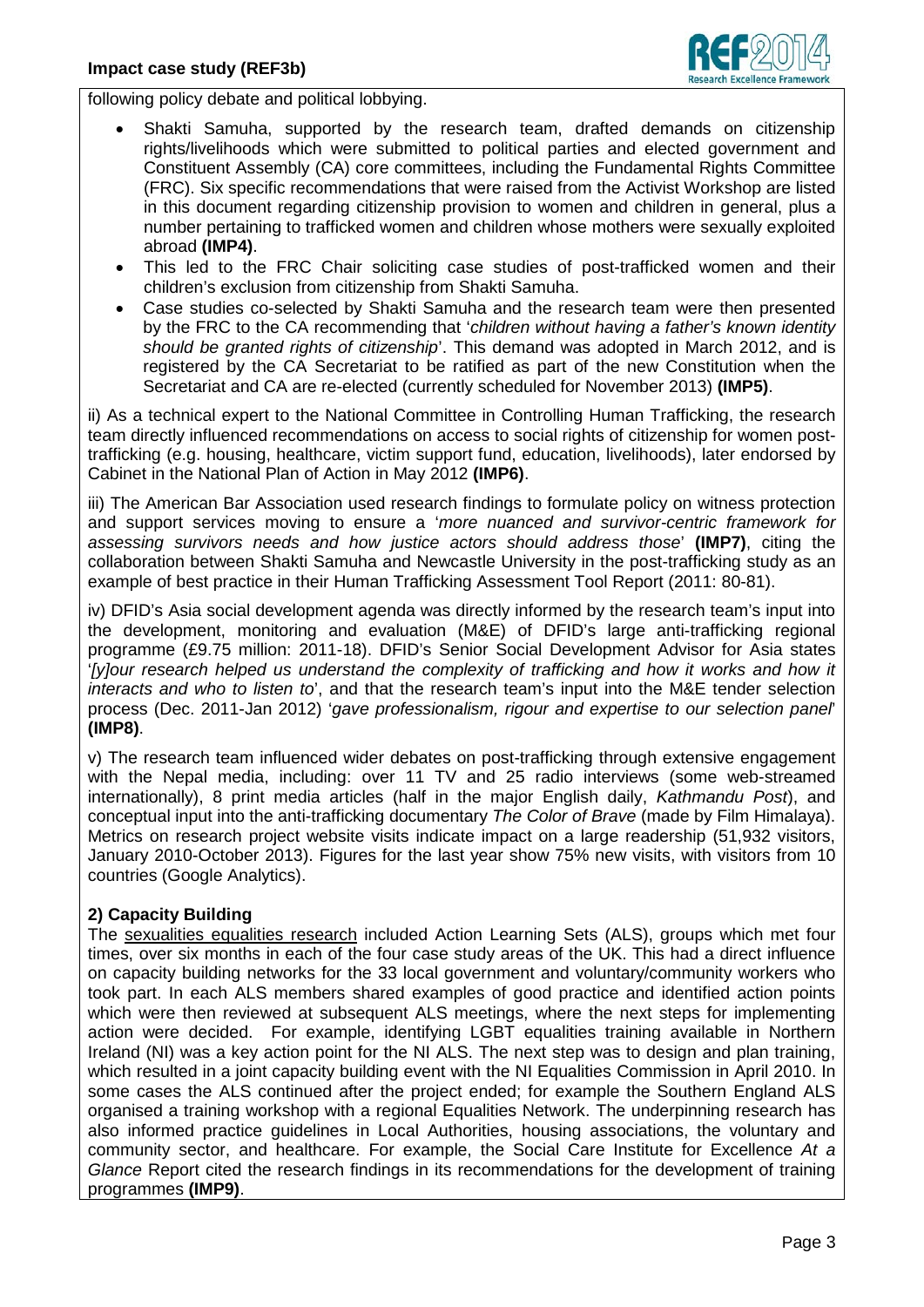

following policy debate and political lobbying.

- Shakti Samuha, supported by the research team, drafted demands on citizenship rights/livelihoods which were submitted to political parties and elected government and Constituent Assembly (CA) core committees, including the Fundamental Rights Committee (FRC). Six specific recommendations that were raised from the Activist Workshop are listed in this document regarding citizenship provision to women and children in general, plus a number pertaining to trafficked women and children whose mothers were sexually exploited abroad **(IMP4)**.
- This led to the FRC Chair soliciting case studies of post-trafficked women and their children's exclusion from citizenship from Shakti Samuha.
- Case studies co-selected by Shakti Samuha and the research team were then presented by the FRC to the CA recommending that '*children without having a father's known identity should be granted rights of citizenship*'. This demand was adopted in March 2012, and is registered by the CA Secretariat to be ratified as part of the new Constitution when the Secretariat and CA are re-elected (currently scheduled for November 2013) **(IMP5)**.

ii) As a technical expert to the National Committee in Controlling Human Trafficking, the research team directly influenced recommendations on access to social rights of citizenship for women posttrafficking (e.g. housing, healthcare, victim support fund, education, livelihoods), later endorsed by Cabinet in the National Plan of Action in May 2012 **(IMP6)**.

iii) The American Bar Association used research findings to formulate policy on witness protection and support services moving to ensure a '*more nuanced and survivor-centric framework for assessing survivors needs and how justice actors should address those*' **(IMP7)**, citing the collaboration between Shakti Samuha and Newcastle University in the post-trafficking study as an example of best practice in their Human Trafficking Assessment Tool Report (2011: 80-81).

iv) DFID's Asia social development agenda was directly informed by the research team's input into the development, monitoring and evaluation (M&E) of DFID's large anti-trafficking regional programme (£9.75 million: 2011-18). DFID's Senior Social Development Advisor for Asia states '*[y]our research helped us understand the complexity of trafficking and how it works and how it interacts and who to listen to*', and that the research team's input into the M&E tender selection process (Dec. 2011-Jan 2012) '*gave professionalism, rigour and expertise to our selection panel*' **(IMP8)**.

v) The research team influenced wider debates on post-trafficking through extensive engagement with the Nepal media, including: over 11 TV and 25 radio interviews (some web-streamed internationally), 8 print media articles (half in the major English daily, *Kathmandu Post*), and conceptual input into the anti-trafficking documentary *The Color of Brave* (made by Film Himalaya). Metrics on research project website visits indicate impact on a large readership (51,932 visitors, January 2010-October 2013). Figures for the last year show 75% new visits, with visitors from 10 countries (Google Analytics).

# **2) Capacity Building**

The sexualities equalities research included Action Learning Sets (ALS), groups which met four times, over six months in each of the four case study areas of the UK. This had a direct influence on capacity building networks for the 33 local government and voluntary/community workers who took part. In each ALS members shared examples of good practice and identified action points which were then reviewed at subsequent ALS meetings, where the next steps for implementing action were decided. For example, identifying LGBT equalities training available in Northern Ireland (NI) was a key action point for the NI ALS. The next step was to design and plan training, which resulted in a joint capacity building event with the NI Equalities Commission in April 2010. In some cases the ALS continued after the project ended; for example the Southern England ALS organised a training workshop with a regional Equalities Network. The underpinning research has also informed practice guidelines in Local Authorities, housing associations, the voluntary and community sector, and healthcare. For example, the Social Care Institute for Excellence *At a Glance* Report cited the research findings in its recommendations for the development of training programmes **(IMP9)**.